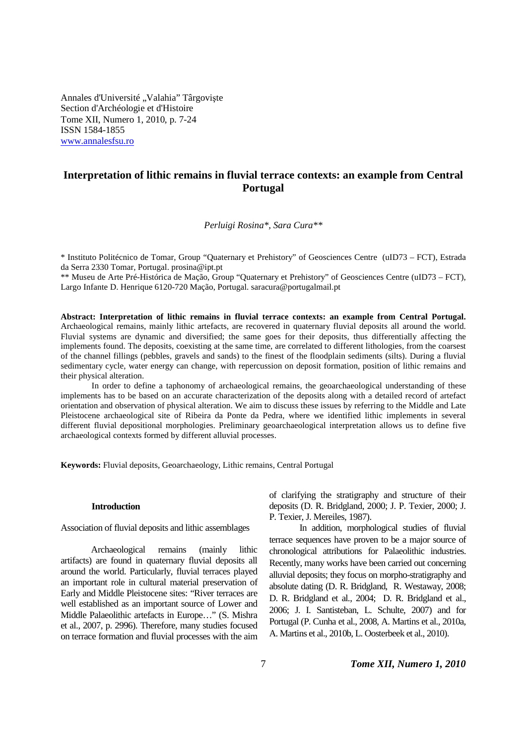Annales d'Université "Valahia" Târgoviște Section d'Archéologie et d'Histoire Tome XII, Numero 1, 2010, p. 7-24 ISSN 1584-1855 www.annalesfsu.ro

# **Interpretation of lithic remains in fluvial terrace contexts: an example from Central Portugal**

*Perluigi Rosina\*, Sara Cura\*\** 

\* Instituto Politécnico de Tomar, Group "Quaternary et Prehistory" of Geosciences Centre (uID73 – FCT), Estrada da Serra 2330 Tomar, Portugal. prosina@ipt.pt

\*\* Museu de Arte Pré-Histórica de Mação, Group "Quaternary et Prehistory" of Geosciences Centre (uID73 – FCT), Largo Infante D. Henrique 6120-720 Mação, Portugal. saracura@portugalmail.pt

**Abstract: Interpretation of lithic remains in fluvial terrace contexts: an example from Central Portugal.** Archaeological remains, mainly lithic artefacts, are recovered in quaternary fluvial deposits all around the world. Fluvial systems are dynamic and diversified; the same goes for their deposits, thus differentially affecting the implements found. The deposits, coexisting at the same time, are correlated to different lithologies, from the coarsest of the channel fillings (pebbles, gravels and sands) to the finest of the floodplain sediments (silts). During a fluvial sedimentary cycle, water energy can change, with repercussion on deposit formation, position of lithic remains and their physical alteration.

In order to define a taphonomy of archaeological remains, the geoarchaeological understanding of these implements has to be based on an accurate characterization of the deposits along with a detailed record of artefact orientation and observation of physical alteration. We aim to discuss these issues by referring to the Middle and Late Pleistocene archaeological site of Ribeira da Ponte da Pedra, where we identified lithic implements in several different fluvial depositional morphologies. Preliminary geoarchaeological interpretation allows us to define five archaeological contexts formed by different alluvial processes.

**Keywords:** Fluvial deposits, Geoarchaeology, Lithic remains, Central Portugal

#### **Introduction**

Association of fluvial deposits and lithic assemblages

Archaeological remains (mainly lithic artifacts) are found in quaternary fluvial deposits all around the world. Particularly, fluvial terraces played an important role in cultural material preservation of Early and Middle Pleistocene sites: "River terraces are well established as an important source of Lower and Middle Palaeolithic artefacts in Europe…" (S. Mishra et al., 2007, p. 2996). Therefore, many studies focused on terrace formation and fluvial processes with the aim of clarifying the stratigraphy and structure of their deposits (D. R. Bridgland, 2000; J. P. Texier, 2000; J. P. Texier, J. Mereiles, 1987).

In addition, morphological studies of fluvial terrace sequences have proven to be a major source of chronological attributions for Palaeolithic industries. Recently, many works have been carried out concerning alluvial deposits; they focus on morpho-stratigraphy and absolute dating (D. R. Bridgland, R. Westaway, 2008; D. R. Bridgland et al., 2004; D. R. Bridgland et al., 2006; J. I. Santisteban, L. Schulte, 2007) and for Portugal (P. Cunha et al., 2008, A. Martins et al., 2010a, A. Martins et al., 2010b, L. Oosterbeek et al., 2010).

# 7 *Tome XII, Numero 1, 2010*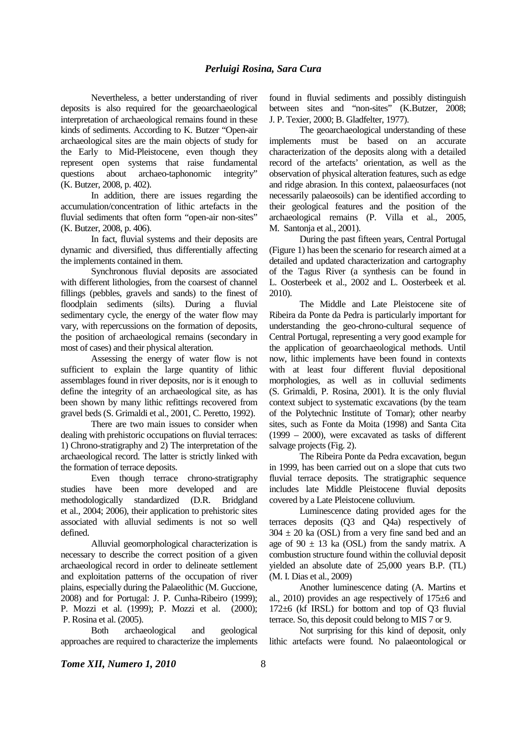Nevertheless, a better understanding of river deposits is also required for the geoarchaeological interpretation of archaeological remains found in these kinds of sediments. According to K. Butzer "Open-air archaeological sites are the main objects of study for the Early to Mid-Pleistocene, even though they represent open systems that raise fundamental questions about archaeo-taphonomic integrity" (K. Butzer, 2008, p. 402).

In addition, there are issues regarding the accumulation/concentration of lithic artefacts in the fluvial sediments that often form "open-air non-sites" (K. Butzer, 2008, p. 406).

In fact, fluvial systems and their deposits are dynamic and diversified, thus differentially affecting the implements contained in them.

Synchronous fluvial deposits are associated with different lithologies, from the coarsest of channel fillings (pebbles, gravels and sands) to the finest of floodplain sediments (silts). During a fluvial sedimentary cycle, the energy of the water flow may vary, with repercussions on the formation of deposits, the position of archaeological remains (secondary in most of cases) and their physical alteration.

Assessing the energy of water flow is not sufficient to explain the large quantity of lithic assemblages found in river deposits, nor is it enough to define the integrity of an archaeological site, as has been shown by many lithic refittings recovered from gravel beds (S. Grimaldi et al., 2001, C. Peretto, 1992).

There are two main issues to consider when dealing with prehistoric occupations on fluvial terraces: 1) Chrono-stratigraphy and 2) The interpretation of the archaeological record. The latter is strictly linked with the formation of terrace deposits.

Even though terrace chrono-stratigraphy studies have been more developed and are methodologically standardized (D.R. Bridgland et al., 2004; 2006), their application to prehistoric sites associated with alluvial sediments is not so well defined.

Alluvial geomorphological characterization is necessary to describe the correct position of a given archaeological record in order to delineate settlement and exploitation patterns of the occupation of river plains, especially during the Palaeolithic (M. Guccione, 2008) and for Portugal: J. P. Cunha-Ribeiro (1999); P. Mozzi et al. (1999); P. Mozzi et al. (2000); P. Rosina et al. (2005).

Both archaeological and geological approaches are required to characterize the implements

found in fluvial sediments and possibly distinguish between sites and "non-sites" (K.Butzer, 2008; J. P. Texier, 2000; B. Gladfelter, 1977).

The geoarchaeological understanding of these implements must be based on an accurate characterization of the deposits along with a detailed record of the artefacts' orientation, as well as the observation of physical alteration features, such as edge and ridge abrasion. In this context, palaeosurfaces (not necessarily palaeosoils) can be identified according to their geological features and the position of the archaeological remains (P. Villa et al., 2005, M. Santonja et al., 2001).

During the past fifteen years, Central Portugal (Figure 1) has been the scenario for research aimed at a detailed and updated characterization and cartography of the Tagus River (a synthesis can be found in L. Oosterbeek et al., 2002 and L. Oosterbeek et al. 2010).

The Middle and Late Pleistocene site of Ribeira da Ponte da Pedra is particularly important for understanding the geo-chrono-cultural sequence of Central Portugal, representing a very good example for the application of geoarchaeological methods. Until now, lithic implements have been found in contexts with at least four different fluvial depositional morphologies, as well as in colluvial sediments (S. Grimaldi, P. Rosina, 2001). It is the only fluvial context subject to systematic excavations (by the team of the Polytechnic Institute of Tomar); other nearby sites, such as Fonte da Moita (1998) and Santa Cita (1999 – 2000), were excavated as tasks of different salvage projects (Fig. 2).

The Ribeira Ponte da Pedra excavation, begun in 1999, has been carried out on a slope that cuts two fluvial terrace deposits. The stratigraphic sequence includes late Middle Pleistocene fluvial deposits covered by a Late Pleistocene colluvium.

Luminescence dating provided ages for the terraces deposits (Q3 and Q4a) respectively of  $304 \pm 20$  ka (OSL) from a very fine sand bed and an age of  $90 \pm 13$  ka (OSL) from the sandy matrix. A combustion structure found within the colluvial deposit yielded an absolute date of 25,000 years B.P. (TL) (M. I. Dias et al., 2009)

Another luminescence dating (A. Martins et al., 2010) provides an age respectively of 175±6 and 172±6 (kf IRSL) for bottom and top of Q3 fluvial terrace. So, this deposit could belong to MIS 7 or 9.

Not surprising for this kind of deposit, only lithic artefacts were found. No palaeontological or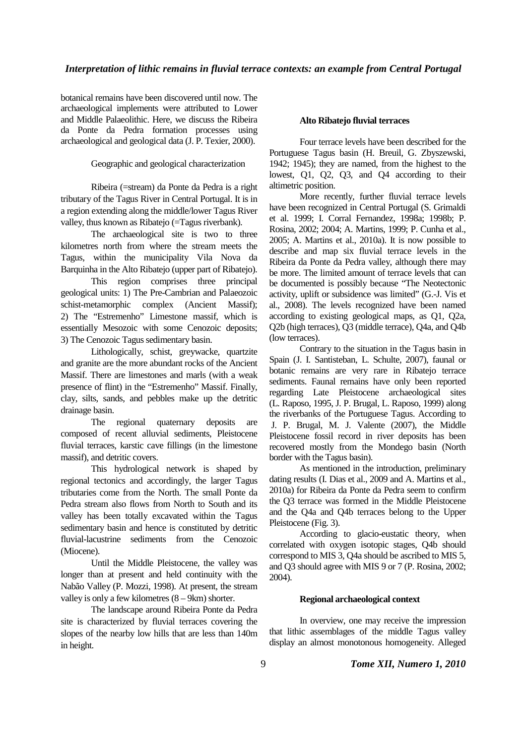#### *Interpretation of lithic remains in fluvial terrace contexts: an example from Central Portugal*

botanical remains have been discovered until now. The archaeological implements were attributed to Lower and Middle Palaeolithic. Here, we discuss the Ribeira da Ponte da Pedra formation processes using archaeological and geological data (J. P. Texier, 2000).

Geographic and geological characterization

Ribeira (=stream) da Ponte da Pedra is a right tributary of the Tagus River in Central Portugal. It is in a region extending along the middle/lower Tagus River valley, thus known as Ribatejo (=Tagus riverbank).

The archaeological site is two to three kilometres north from where the stream meets the Tagus, within the municipality Vila Nova da Barquinha in the Alto Ribatejo (upper part of Ribatejo).

This region comprises three principal geological units: 1) The Pre-Cambrian and Palaeozoic schist-metamorphic complex (Ancient Massif); 2) The "Estremenho" Limestone massif, which is essentially Mesozoic with some Cenozoic deposits; 3) The Cenozoic Tagus sedimentary basin.

Lithologically, schist, greywacke, quartzite and granite are the more abundant rocks of the Ancient Massif. There are limestones and marls (with a weak presence of flint) in the "Estremenho" Massif. Finally, clay, silts, sands, and pebbles make up the detritic drainage basin.

The regional quaternary deposits are composed of recent alluvial sediments, Pleistocene fluvial terraces, karstic cave fillings (in the limestone massif), and detritic covers.

This hydrological network is shaped by regional tectonics and accordingly, the larger Tagus tributaries come from the North. The small Ponte da Pedra stream also flows from North to South and its valley has been totally excavated within the Tagus sedimentary basin and hence is constituted by detritic fluvial-lacustrine sediments from the Cenozoic (Miocene).

Until the Middle Pleistocene, the valley was longer than at present and held continuity with the Nabão Valley (P. Mozzi, 1998). At present, the stream valley is only a few kilometres  $(8 - 9km)$  shorter.

The landscape around Ribeira Ponte da Pedra site is characterized by fluvial terraces covering the slopes of the nearby low hills that are less than 140m in height.

#### **Alto Ribatejo fluvial terraces**

Four terrace levels have been described for the Portuguese Tagus basin (H. Breuil, G. Zbyszewski, 1942; 1945); they are named, from the highest to the lowest, Q1, Q2, Q3, and Q4 according to their altimetric position.

More recently, further fluvial terrace levels have been recognized in Central Portugal (S. Grimaldi et al. 1999; I. Corral Fernandez, 1998a; 1998b; P. Rosina, 2002; 2004; A. Martins, 1999; P. Cunha et al., 2005; A. Martins et al., 2010a). It is now possible to describe and map six fluvial terrace levels in the Ribeira da Ponte da Pedra valley, although there may be more. The limited amount of terrace levels that can be documented is possibly because "The Neotectonic activity, uplift or subsidence was limited" (G.-J. Vis et al., 2008). The levels recognized have been named according to existing geological maps, as Q1, Q2a, Q2b (high terraces), Q3 (middle terrace), Q4a, and Q4b (low terraces).

Contrary to the situation in the Tagus basin in Spain (J. I. Santisteban, L. Schulte, 2007), faunal or botanic remains are very rare in Ribatejo terrace sediments. Faunal remains have only been reported regarding Late Pleistocene archaeological sites (L. Raposo, 1995, J. P. Brugal, L. Raposo, 1999) along the riverbanks of the Portuguese Tagus. According to J. P. Brugal, M. J. Valente (2007), the Middle Pleistocene fossil record in river deposits has been recovered mostly from the Mondego basin (North border with the Tagus basin).

As mentioned in the introduction, preliminary dating results (I. Dias et al., 2009 and A. Martins et al., 2010a) for Ribeira da Ponte da Pedra seem to confirm the Q3 terrace was formed in the Middle Pleistocene and the Q4a and Q4b terraces belong to the Upper Pleistocene (Fig. 3).

According to glacio-eustatic theory, when correlated with oxygen isotopic stages, Q4b should correspond to MIS 3, Q4a should be ascribed to MIS 5, and Q3 should agree with MIS 9 or 7 (P. Rosina, 2002; 2004).

# **Regional archaeological context**

In overview, one may receive the impression that lithic assemblages of the middle Tagus valley display an almost monotonous homogeneity. Alleged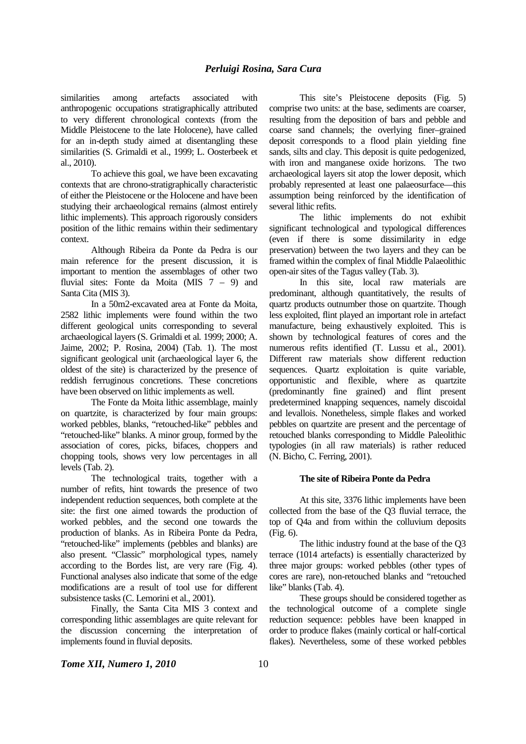similarities among artefacts associated with anthropogenic occupations stratigraphically attributed to very different chronological contexts (from the Middle Pleistocene to the late Holocene), have called for an in-depth study aimed at disentangling these similarities (S. Grimaldi et al., 1999; L. Oosterbeek et al., 2010).

To achieve this goal, we have been excavating contexts that are chrono-stratigraphically characteristic of either the Pleistocene or the Holocene and have been studying their archaeological remains (almost entirely lithic implements). This approach rigorously considers position of the lithic remains within their sedimentary context.

Although Ribeira da Ponte da Pedra is our main reference for the present discussion, it is important to mention the assemblages of other two fluvial sites: Fonte da Moita (MIS 7 – 9) and Santa Cita (MIS 3).

In a 50m2-excavated area at Fonte da Moita, 2582 lithic implements were found within the two different geological units corresponding to several archaeological layers (S. Grimaldi et al*.* 1999; 2000; A. Jaime, 2002; P. Rosina, 2004) (Tab. 1). The most significant geological unit (archaeological layer 6, the oldest of the site) is characterized by the presence of reddish ferruginous concretions. These concretions have been observed on lithic implements as well.

The Fonte da Moita lithic assemblage, mainly on quartzite, is characterized by four main groups: worked pebbles, blanks, "retouched-like" pebbles and "retouched-like" blanks. A minor group, formed by the association of cores, picks, bifaces, choppers and chopping tools, shows very low percentages in all levels (Tab. 2).

The technological traits, together with a number of refits, hint towards the presence of two independent reduction sequences, both complete at the site: the first one aimed towards the production of worked pebbles, and the second one towards the production of blanks. As in Ribeira Ponte da Pedra, "retouched-like" implements (pebbles and blanks) are also present. "Classic" morphological types, namely according to the Bordes list, are very rare (Fig. 4). Functional analyses also indicate that some of the edge modifications are a result of tool use for different subsistence tasks (C. Lemorini et al., 2001).

Finally, the Santa Cita MIS 3 context and corresponding lithic assemblages are quite relevant for the discussion concerning the interpretation of implements found in fluvial deposits.

This site's Pleistocene deposits (Fig. 5) comprise two units: at the base, sediments are coarser, resulting from the deposition of bars and pebble and coarse sand channels; the overlying finer–grained deposit corresponds to a flood plain yielding fine sands, silts and clay. This deposit is quite pedogenized, with iron and manganese oxide horizons. The two archaeological layers sit atop the lower deposit, which probably represented at least one palaeosurface—this assumption being reinforced by the identification of several lithic refits.

The lithic implements do not exhibit significant technological and typological differences (even if there is some dissimilarity in edge preservation) between the two layers and they can be framed within the complex of final Middle Palaeolithic open-air sites of the Tagus valley (Tab. 3).

In this site, local raw materials are predominant, although quantitatively, the results of quartz products outnumber those on quartzite. Though less exploited, flint played an important role in artefact manufacture, being exhaustively exploited. This is shown by technological features of cores and the numerous refits identified (T. Lussu et al., 2001). Different raw materials show different reduction sequences. Quartz exploitation is quite variable, opportunistic and flexible, where as quartzite (predominantly fine grained) and flint present predetermined knapping sequences, namely discoidal and levallois. Nonetheless, simple flakes and worked pebbles on quartzite are present and the percentage of retouched blanks corresponding to Middle Paleolithic typologies (in all raw materials) is rather reduced (N. Bicho, C. Ferring, 2001).

#### **The site of Ribeira Ponte da Pedra**

At this site, 3376 lithic implements have been collected from the base of the Q3 fluvial terrace, the top of Q4a and from within the colluvium deposits (Fig. 6).

The lithic industry found at the base of the Q3 terrace (1014 artefacts) is essentially characterized by three major groups: worked pebbles (other types of cores are rare), non-retouched blanks and "retouched like" blanks (Tab. 4).

These groups should be considered together as the technological outcome of a complete single reduction sequence: pebbles have been knapped in order to produce flakes (mainly cortical or half-cortical flakes). Nevertheless, some of these worked pebbles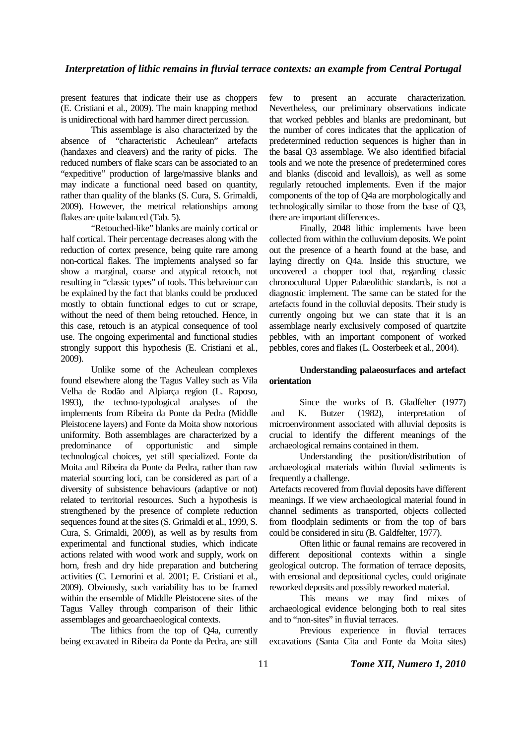present features that indicate their use as choppers (E. Cristiani et al., 2009). The main knapping method is unidirectional with hard hammer direct percussion.

This assemblage is also characterized by the absence of "characteristic Acheulean" artefacts (handaxes and cleavers) and the rarity of picks. The reduced numbers of flake scars can be associated to an "expeditive" production of large/massive blanks and may indicate a functional need based on quantity, rather than quality of the blanks (S. Cura, S. Grimaldi, 2009). However, the metrical relationships among flakes are quite balanced (Tab. 5).

"Retouched-like" blanks are mainly cortical or half cortical. Their percentage decreases along with the reduction of cortex presence, being quite rare among non-cortical flakes. The implements analysed so far show a marginal, coarse and atypical retouch, not resulting in "classic types" of tools. This behaviour can be explained by the fact that blanks could be produced mostly to obtain functional edges to cut or scrape, without the need of them being retouched. Hence, in this case, retouch is an atypical consequence of tool use. The ongoing experimental and functional studies strongly support this hypothesis (E. Cristiani et al*.*, 2009).

Unlike some of the Acheulean complexes found elsewhere along the Tagus Valley such as Vila Velha de Rodão and Alpiarça region (L. Raposo, 1993), the techno-typological analyses of the implements from Ribeira da Ponte da Pedra (Middle Pleistocene layers) and Fonte da Moita show notorious uniformity. Both assemblages are characterized by a predominance of opportunistic and simple technological choices, yet still specialized. Fonte da Moita and Ribeira da Ponte da Pedra, rather than raw material sourcing loci, can be considered as part of a diversity of subsistence behaviours (adaptive or not) related to territorial resources. Such a hypothesis is strengthened by the presence of complete reduction sequences found at the sites (S. Grimaldi et al., 1999, S. Cura, S. Grimaldi, 2009), as well as by results from experimental and functional studies, which indicate actions related with wood work and supply, work on horn, fresh and dry hide preparation and butchering activities (C. Lemorini et al*.* 2001; E. Cristiani et al., 2009). Obviously, such variability has to be framed within the ensemble of Middle Pleistocene sites of the Tagus Valley through comparison of their lithic assemblages and geoarchaeological contexts.

The lithics from the top of Q4a, currently being excavated in Ribeira da Ponte da Pedra, are still few to present an accurate characterization. Nevertheless, our preliminary observations indicate that worked pebbles and blanks are predominant, but the number of cores indicates that the application of predetermined reduction sequences is higher than in the basal Q3 assemblage. We also identified bifacial tools and we note the presence of predetermined cores and blanks (discoid and levallois), as well as some regularly retouched implements. Even if the major components of the top of Q4a are morphologically and technologically similar to those from the base of Q3, there are important differences.

Finally, 2048 lithic implements have been collected from within the colluvium deposits. We point out the presence of a hearth found at the base, and laying directly on Q4a. Inside this structure, we uncovered a chopper tool that, regarding classic chronocultural Upper Palaeolithic standards, is not a diagnostic implement. The same can be stated for the artefacts found in the colluvial deposits. Their study is currently ongoing but we can state that it is an assemblage nearly exclusively composed of quartzite pebbles, with an important component of worked pebbles, cores and flakes (L. Oosterbeek et al., 2004).

## **Understanding palaeosurfaces and artefact orientation**

Since the works of B. Gladfelter (1977) and K. Butzer (1982), interpretation of microenvironment associated with alluvial deposits is crucial to identify the different meanings of the archaeological remains contained in them.

Understanding the position/distribution of archaeological materials within fluvial sediments is frequently a challenge.

Artefacts recovered from fluvial deposits have different meanings. If we view archaeological material found in channel sediments as transported, objects collected from floodplain sediments or from the top of bars could be considered in situ (B. Galdfelter, 1977).

Often lithic or faunal remains are recovered in different depositional contexts within a single geological outcrop. The formation of terrace deposits, with erosional and depositional cycles, could originate reworked deposits and possibly reworked material.

This means we may find mixes of archaeological evidence belonging both to real sites and to "non-sites" in fluvial terraces.

Previous experience in fluvial terraces excavations (Santa Cita and Fonte da Moita sites)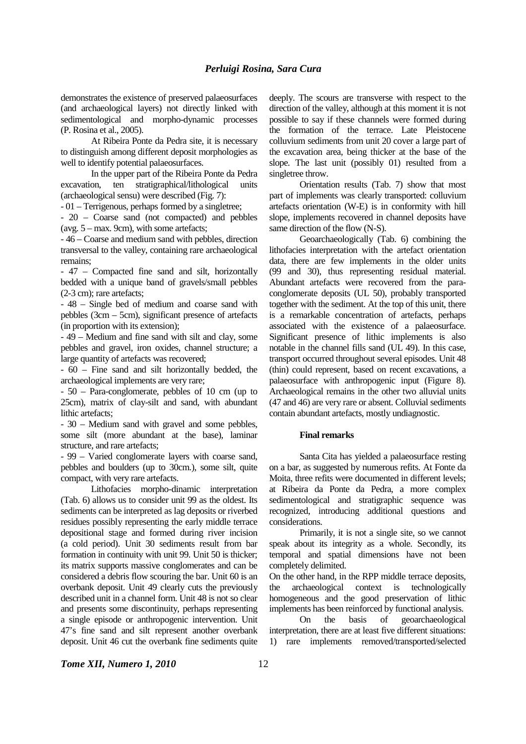demonstrates the existence of preserved palaeosurfaces (and archaeological layers) not directly linked with sedimentological and morpho-dynamic processes (P. Rosina et al., 2005).

At Ribeira Ponte da Pedra site, it is necessary to distinguish among different deposit morphologies as well to identify potential palaeosurfaces.

In the upper part of the Ribeira Ponte da Pedra excavation, ten stratigraphical/lithological units (archaeological sensu) were described (Fig. 7):

- 01 – Terrigenous, perhaps formed by a singletree;

- 20 – Coarse sand (not compacted) and pebbles (avg.  $5 - \text{max}$ . 9cm), with some artefacts;

- 46 – Coarse and medium sand with pebbles, direction transversal to the valley, containing rare archaeological remains;

- 47 – Compacted fine sand and silt, horizontally bedded with a unique band of gravels/small pebbles (2-3 cm); rare artefacts;

- 48 – Single bed of medium and coarse sand with pebbles (3cm – 5cm), significant presence of artefacts (in proportion with its extension);

- 49 – Medium and fine sand with silt and clay, some pebbles and gravel, iron oxides, channel structure; a large quantity of artefacts was recovered;

- 60 – Fine sand and silt horizontally bedded, the archaeological implements are very rare;

- 50 – Para-conglomerate, pebbles of 10 cm (up to 25cm), matrix of clay-silt and sand, with abundant lithic artefacts;

- 30 – Medium sand with gravel and some pebbles, some silt (more abundant at the base), laminar structure, and rare artefacts;

- 99 – Varied conglomerate layers with coarse sand, pebbles and boulders (up to 30cm.), some silt, quite compact, with very rare artefacts.

Lithofacies morpho-dinamic interpretation (Tab. 6) allows us to consider unit 99 as the oldest. Its sediments can be interpreted as lag deposits or riverbed residues possibly representing the early middle terrace depositional stage and formed during river incision (a cold period). Unit 30 sediments result from bar formation in continuity with unit 99. Unit 50 is thicker; its matrix supports massive conglomerates and can be considered a debris flow scouring the bar. Unit 60 is an overbank deposit. Unit 49 clearly cuts the previously described unit in a channel form. Unit 48 is not so clear and presents some discontinuity, perhaps representing a single episode or anthropogenic intervention. Unit 47's fine sand and silt represent another overbank deposit. Unit 46 cut the overbank fine sediments quite deeply. The scours are transverse with respect to the direction of the valley, although at this moment it is not possible to say if these channels were formed during the formation of the terrace. Late Pleistocene colluvium sediments from unit 20 cover a large part of the excavation area, being thicker at the base of the slope. The last unit (possibly 01) resulted from a singletree throw.

Orientation results (Tab. 7) show that most part of implements was clearly transported: colluvium artefacts orientation (W-E) is in conformity with hill slope, implements recovered in channel deposits have same direction of the flow (N-S).

Geoarchaeologically (Tab. 6) combining the lithofacies interpretation with the artefact orientation data, there are few implements in the older units (99 and 30), thus representing residual material. Abundant artefacts were recovered from the paraconglomerate deposits (UL 50), probably transported together with the sediment. At the top of this unit, there is a remarkable concentration of artefacts, perhaps associated with the existence of a palaeosurface. Significant presence of lithic implements is also notable in the channel fills sand (UL 49). In this case, transport occurred throughout several episodes. Unit 48 (thin) could represent, based on recent excavations, a palaeosurface with anthropogenic input (Figure 8). Archaeological remains in the other two alluvial units (47 and 46) are very rare or absent. Colluvial sediments contain abundant artefacts, mostly undiagnostic.

#### **Final remarks**

Santa Cita has yielded a palaeosurface resting on a bar, as suggested by numerous refits. At Fonte da Moita, three refits were documented in different levels; at Ribeira da Ponte da Pedra, a more complex sedimentological and stratigraphic sequence was recognized, introducing additional questions and considerations.

Primarily, it is not a single site, so we cannot speak about its integrity as a whole. Secondly, its temporal and spatial dimensions have not been completely delimited.

On the other hand, in the RPP middle terrace deposits, the archaeological context is technologically homogeneous and the good preservation of lithic implements has been reinforced by functional analysis.

On the basis of geoarchaeological interpretation, there are at least five different situations: 1) rare implements removed/transported/selected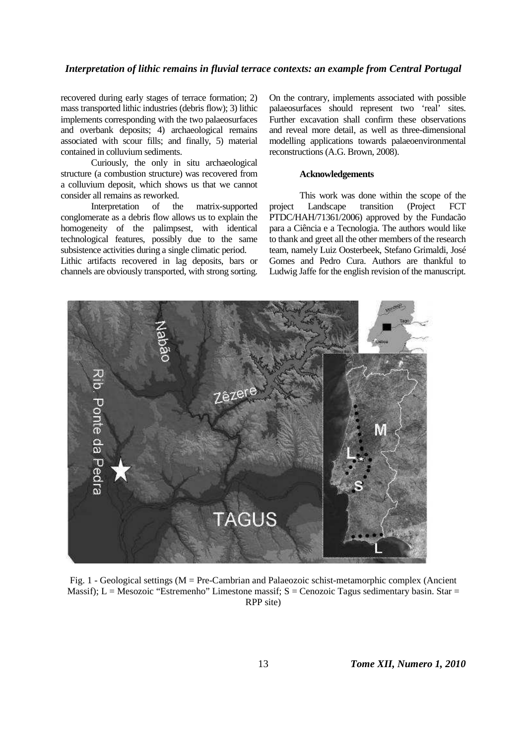## *Interpretation of lithic remains in fluvial terrace contexts: an example from Central Portugal*

recovered during early stages of terrace formation; 2) mass transported lithic industries (debris flow); 3) lithic implements corresponding with the two palaeosurfaces and overbank deposits; 4) archaeological remains associated with scour fills; and finally, 5) material contained in colluvium sediments.

Curiously, the only in situ archaeological structure (a combustion structure) was recovered from a colluvium deposit, which shows us that we cannot consider all remains as reworked.

Interpretation of the matrix-supported conglomerate as a debris flow allows us to explain the homogeneity of the palimpsest, with identical technological features, possibly due to the same subsistence activities during a single climatic period.

Lithic artifacts recovered in lag deposits, bars or channels are obviously transported, with strong sorting.

On the contrary, implements associated with possible palaeosurfaces should represent two 'real' sites. Further excavation shall confirm these observations and reveal more detail, as well as three-dimensional modelling applications towards palaeoenvironmental reconstructions (A.G. Brown, 2008).

#### **Acknowledgements**

This work was done within the scope of the project Landscape transition (Project FCT PTDC/HAH/71361/2006) approved by the Fundacão para a Ciência e a Tecnologia. The authors would like to thank and greet all the other members of the research team, namely Luiz Oosterbeek, Stefano Grimaldi, José Gomes and Pedro Cura. Authors are thankful to Ludwig Jaffe for the english revision of the manuscript.



Fig. 1 - Geological settings (M = Pre-Cambrian and Palaeozoic schist-metamorphic complex (Ancient Massif); L = Mesozoic "Estremenho" Limestone massif; S = Cenozoic Tagus sedimentary basin. Star = RPP site)

13 *Tome XII, Numero 1, 2010*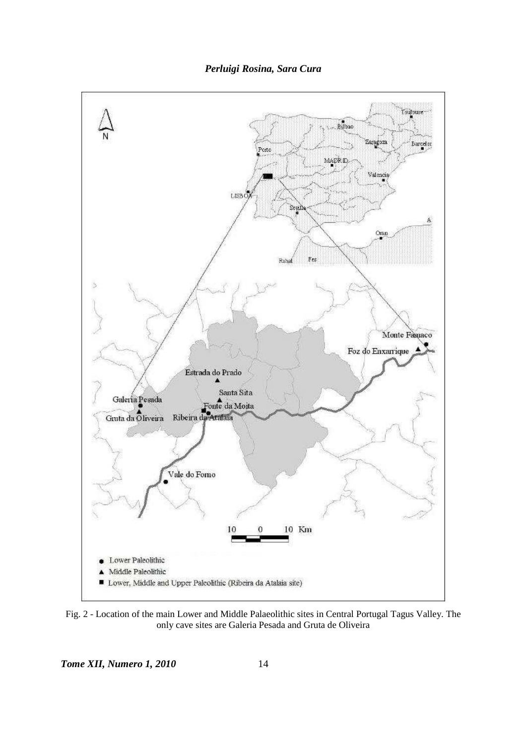



Fig. 2 - Location of the main Lower and Middle Palaeolithic sites in Central Portugal Tagus Valley. The only cave sites are Galeria Pesada and Gruta de Oliveira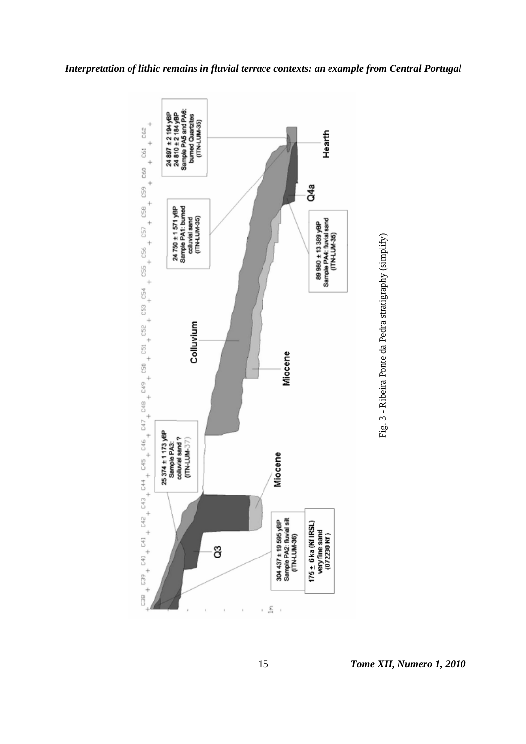

Fig. 3 - Ribeira Ponte da Pedra stratigraphy (simplify) Fig. 3 - Ribeira Ponte da Pedra stratigraphy (simplify)

*Interpretation of lithic remains in fluvial terrace contexts: an example from Central Portugal*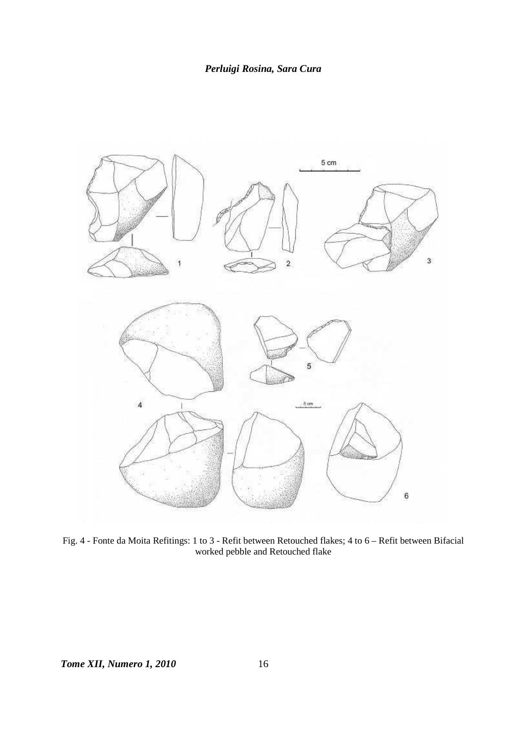

Fig. 4 - Fonte da Moita Refitings: 1 to 3 - Refit between Retouched flakes; 4 to 6 – Refit between Bifacial worked pebble and Retouched flake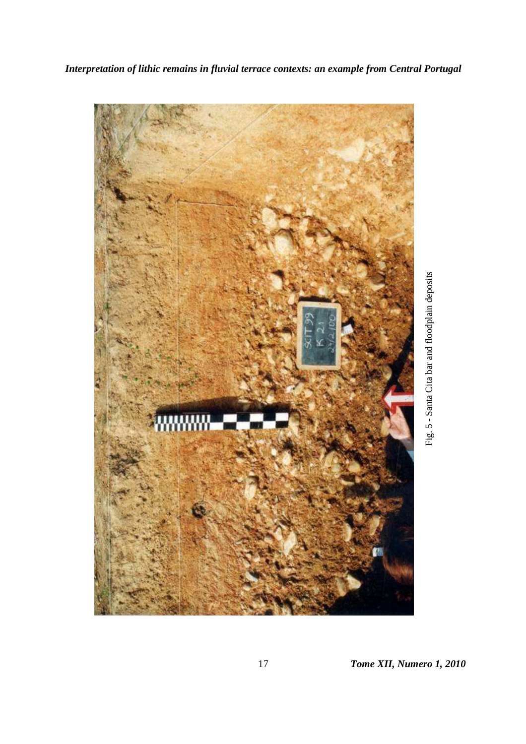

17 *Tome XII, Numero 1, 2010*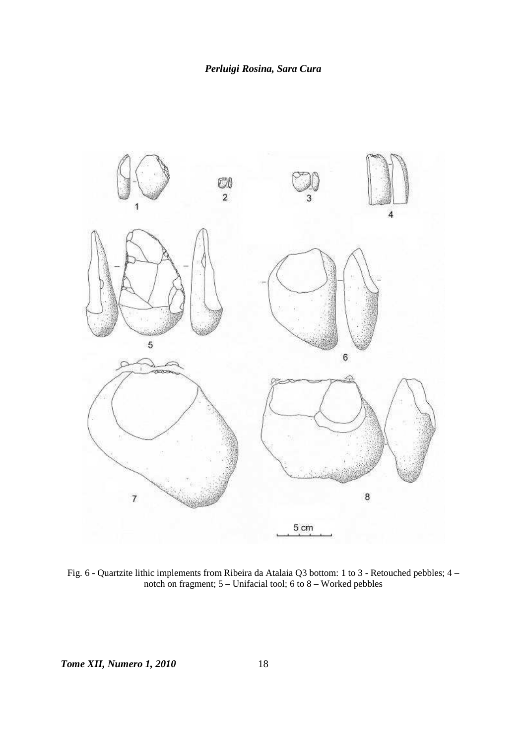

Fig. 6 - Quartzite lithic implements from Ribeira da Atalaia Q3 bottom: 1 to 3 - Retouched pebbles; 4 – notch on fragment; 5 – Unifacial tool; 6 to 8 – Worked pebbles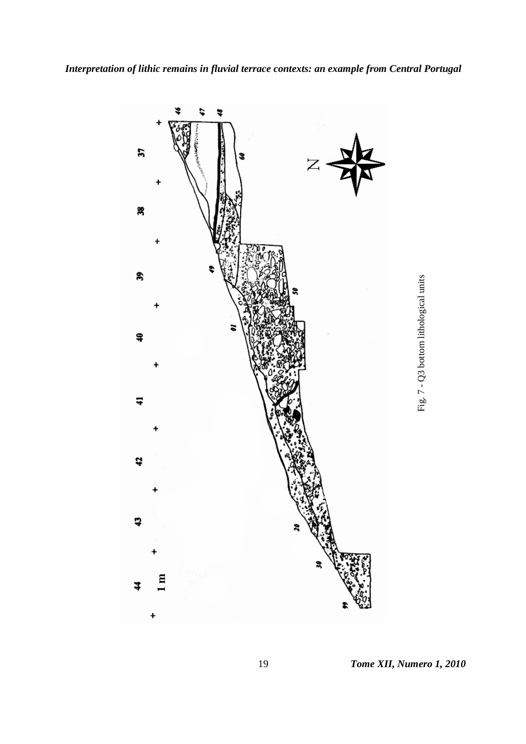

19 *Tome XII, Numero 1, 2010* 

Fig. 7 - Q3 bottom lithological units

Fig. 7 - Q3 bottom lithological units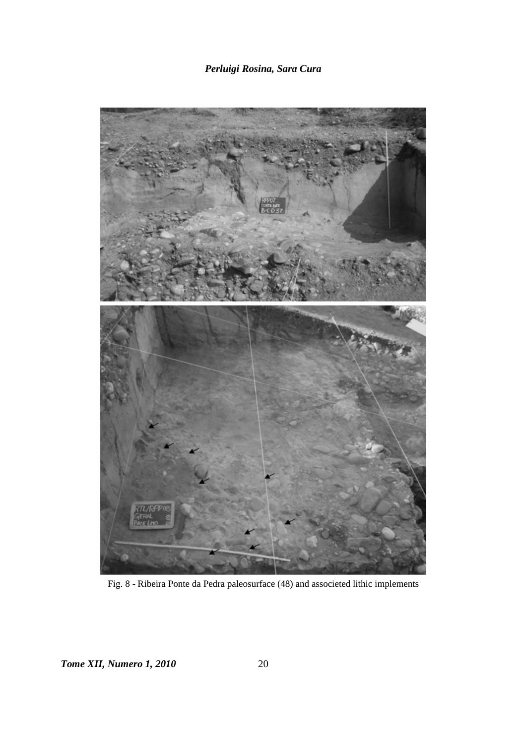# *Perluigi Rosina, Sara Cura*



Fig. 8 - Ribeira Ponte da Pedra paleosurface (48) and associeted lithic implements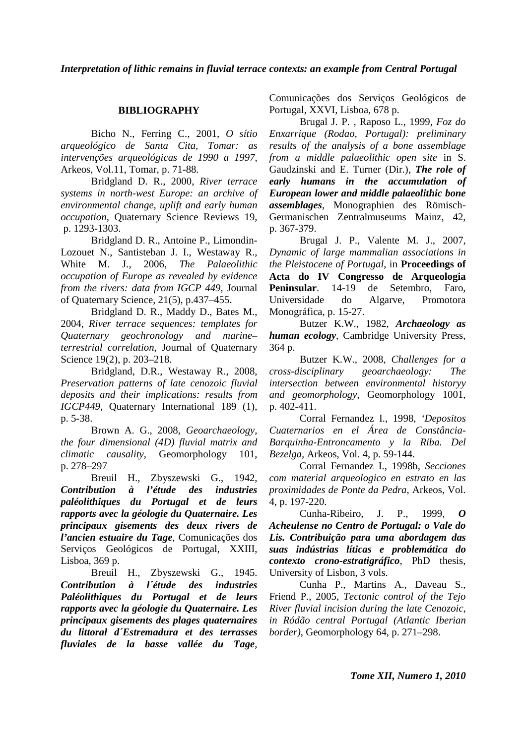# **BIBLIOGRAPHY**

Bicho N., Ferring C., 2001, *O sítio arqueológico de Santa Cita, Tomar: as intervenções arqueológicas de 1990 a 1997*, Arkeos, Vol.11, Tomar, p. 71-88.

Bridgland D. R., 2000, *River terrace systems in north-west Europe: an archive of environmental change, uplift and early human occupation*, Quaternary Science Reviews 19, p. 1293-1303.

Bridgland D. R., Antoine P., Limondin-Lozouet N., Santisteban J. I., Westaway R., White M. J., 2006, *The Palaeolithic occupation of Europe as revealed by evidence from the rivers: data from IGCP 449*, Journal of Quaternary Science, 21(5), p.437–455.

Bridgland D. R., Maddy D., Bates M., 2004, *River terrace sequences: templates for Quaternary geochronology and marine– terrestrial correlation*, Journal of Quaternary Science 19(2), p. 203–218.

Bridgland, D.R., Westaway R., 2008, *Preservation patterns of late cenozoic fluvial deposits and their implications: results from IGCP449*, Quaternary International 189 (1), p. 5-38.

Brown A. G., 2008, *Geoarchaeology, the four dimensional (4D) fluvial matrix and climatic causality*, Geomorphology 101, p. 278–297

Breuil H., Zbyszewski G., 1942, *Contribution à l'étude des industries paléolithiques du Portugal et de leurs rapports avec la géologie du Quaternaire. Les principaux gisements des deux rivers de l'ancien estuaire du Tage*, Comunicações dos Serviços Geológicos de Portugal, XXIII, Lisboa, 369 p.

Breuil H., Zbyszewski G., 1945. *Contribution à l´étude des industries Paléolithiques du Portugal et de leurs rapports avec la géologie du Quaternaire. Les principaux gisements des plages quaternaires du littoral d´Estremadura et des terrasses fluviales de la basse vallée du Tage*, Comunicações dos Serviços Geológicos de Portugal, XXVI, Lisboa, 678 p.

Brugal J. P. , Raposo L., 1999, *Foz do Enxarrique (Rodao, Portugal): preliminary results of the analysis of a bone assemblage from a middle palaeolithic open site* in S. Gaudzinski and E. Turner (Dir.), *The role of early humans in the accumulation of European lower and middle palaeolithic bone assemblages*, Monographien des Römisch-Germanischen Zentralmuseums Mainz, 42, p. 367-379.

Brugal J. P., Valente M. J., 2007, *Dynamic of large mammalian associations in the Pleistocene of Portugal*, in **Proceedings of Acta do IV Congresso de Arqueologia Peninsular**. 14-19 de Setembro, Faro, Universidade do Algarve, Promotora Monográfica, p. 15-27.

Butzer K.W., 1982, *Archaeology as human ecology*, Cambridge University Press, 364 p.

Butzer K.W., 2008, *Challenges for a cross-disciplinary geoarchaeology: The intersection between environmental historyy and geomorphology*, Geomorphology 1001, p. 402-411.

Corral Fernandez I., 1998, *'Depositos Cuaternarios en el Área de Constância-Barquinha-Entroncamento y la Riba. Del Bezelga,* Arkeos, Vol. 4, p. 59-144.

Corral Fernandez I., 1998b, *Secciones com material arqueologico en estrato en las proximidades de Ponte da Pedra*, Arkeos, Vol. 4, p. 197-220.

Cunha-Ribeiro, J. P., 1999, *Acheulense no Centro de Portugal: o Vale do Lis. Contribuição para uma abordagem das suas indústrias líticas e problemática do contexto crono-estratigráfico*, PhD thesis, University of Lisbon, 3 vols.

Cunha P., Martins A., Daveau S., Friend P., 2005, *Tectonic control of the Tejo River fluvial incision during the late Cenozoic, in Ródão central Portugal (Atlantic Iberian border)*, Geomorphology 64, p. 271–298.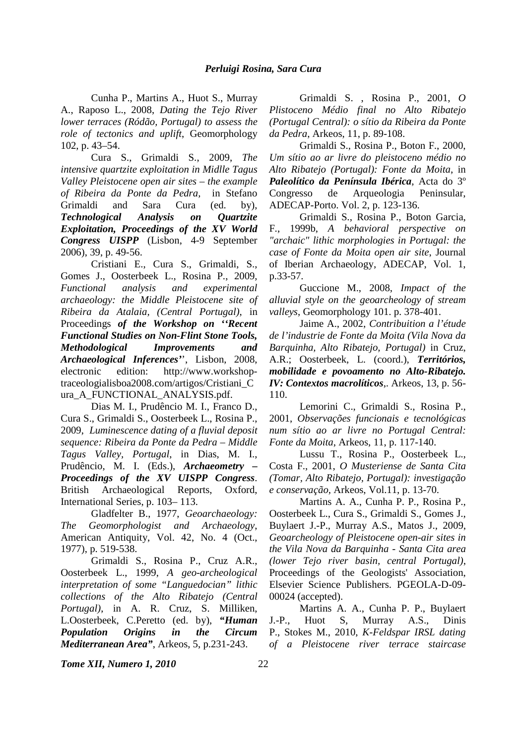Cunha P., Martins A., Huot S., Murray A., Raposo L., 2008, *Dating the Tejo River lower terraces (Ródão, Portugal) to assess the role of tectonics and uplift*, Geomorphology 102, p. 43–54.

Cura S., Grimaldi S., 2009, *The intensive quartzite exploitation in Midlle Tagus Valley Pleistocene open air sites – the example of Ribeira da Ponte da Pedra,* in Stefano Grimaldi and Sara Cura (ed. by), *Technological Analysis on Quartzite Exploitation, Proceedings of the XV World Congress UISPP* (Lisbon, 4-9 September 2006), 39, p. 49-56.

Cristiani E., Cura S., Grimaldi, S., Gomes J., Oosterbeek L., Rosina P., 2009, *Functional analysis and experimental archaeology: the Middle Pleistocene site of Ribeira da Atalaia, (Central Portugal)*, in Proceedings *of the Workshop on ''Recent Functional Studies on Non-Flint Stone Tools, Methodological Improvements and Archaeological Inferences'*', Lisbon, 2008, electronic edition: http://www.workshoptraceologialisboa2008.com/artigos/Cristiani\_C ura\_A\_FUNCTIONAL\_ANALYSIS.pdf.

Dias M. I., Prudêncio M. I., Franco D., Cura S., Grimaldi S., Oosterbeek L., Rosina P., 2009, *Luminescence dating of a fluvial deposit sequence: Ribeira da Ponte da Pedra – Middle Tagus Valley, Portugal*, in Dias, M. I., Prudêncio, M. I. (Eds.), *Archaeometry – Proceedings of the XV UISPP Congress*. British Archaeological Reports, Oxford, International Series, p. 103– 113.

Gladfelter B., 1977, *Geoarchaeology: The Geomorphologist and Archaeology*, American Antiquity, Vol. 42, No. 4 (Oct., 1977), p. 519-538.

Grimaldi S., Rosina P., Cruz A.R., Oosterbeek L., 1999, *A geo-archeological interpretation of some "Languedocian" lithic collections of the Alto Ribatejo (Central Portugal)*, in A. R. Cruz, S. Milliken, L.Oosterbeek, C.Peretto (ed. by), *"Human Population Origins in the Circum Mediterranean Area"*, Arkeos, 5, p.231-243.

Grimaldi S. , Rosina P., 2001, *O Plistoceno Médio final no Alto Ribatejo (Portugal Central): o sítio da Ribeira da Ponte da Pedra*, Arkeos, 11, p. 89-108.

Grimaldi S., Rosina P., Boton F., 2000, *Um sítio ao ar livre do pleistoceno médio no Alto Ribatejo (Portugal): Fonte da Moita*, in *Paleolítico da Península Ibérica*, Acta do 3º Congresso de Arqueologia Peninsular, ADECAP-Porto. Vol. 2, p. 123-136.

Grimaldi S., Rosina P., Boton Garcia, F., 1999b, *A behavioral perspective on "archaic" lithic morphologies in Portugal: the case of Fonte da Moita open air site*, Journal of Iberian Archaeology, ADECAP, Vol. 1, p.33-57.

Guccione M., 2008, *Impact of the alluvial style on the geoarcheology of stream valleys*, Geomorphology 101. p. 378-401.

Jaime A., 2002, *Contribuition a l'étude de l'industrie de Fonte da Moita (Vila Nova da Barquinha, Alto Ribatejo, Portugal)* in Cruz, A.R.; Oosterbeek, L. (coord.), *Territórios, mobilidade e povoamento no Alto-Ribatejo. IV: Contextos macrolíticos*,. Arkeos, 13, p. 56- 110.

Lemorini C., Grimaldi S., Rosina P., 2001, *Observações funcionais e tecnológicas num sítio ao ar livre no Portugal Central: Fonte da Moita*, Arkeos, 11, p. 117-140.

Lussu T., Rosina P., Oosterbeek L., Costa F., 2001, *O Musteriense de Santa Cita (Tomar, Alto Ribatejo, Portugal): investigação e conservação,* Arkeos, Vol.11, p. 13-70.

Martins A. A., Cunha P. P., Rosina P., Oosterbeek L., Cura S., Grimaldi S., Gomes J., Buylaert J.-P., Murray A.S., Matos J., 2009, *Geoarcheology of Pleistocene open-air sites in the Vila Nova da Barquinha - Santa Cita area (lower Tejo river basin, central Portugal)*, Proceedings of the Geologists' Association, Elsevier Science Publishers. PGEOLA-D-09- 00024 (accepted).

Martins A. A., Cunha P. P., Buylaert J.-P., Huot S, Murray A.S., Dinis P., Stokes M., 2010, *K-Feldspar IRSL dating of a Pleistocene river terrace staircase*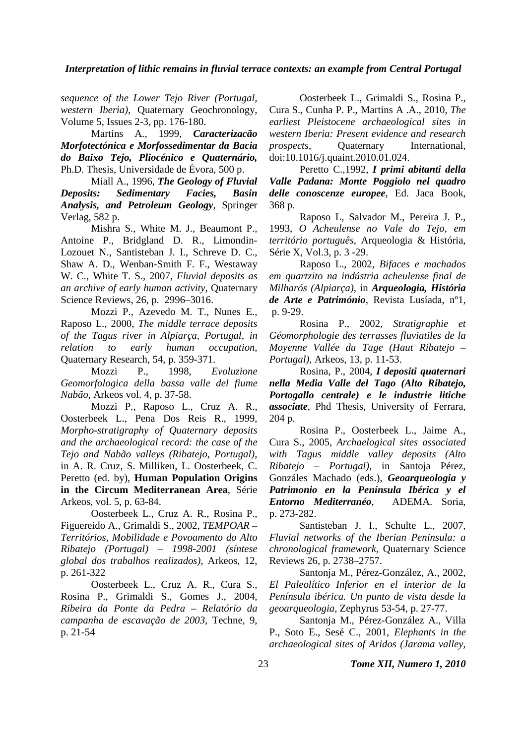## *Interpretation of lithic remains in fluvial terrace contexts: an example from Central Portugal*

*sequence of the Lower Tejo River (Portugal, western Iberia),* Quaternary Geochronology, Volume 5, Issues 2-3, pp. 176-180.

Martins A., 1999, *Caracterizacão Morfotectónica e Morfossedimentar da Bacia do Baixo Tejo, Pliocénico e Quaternário,* Ph.D. Thesis, Universidade de Évora, 500 p.

Miall A., 1996, *The Geology of Fluvial Deposits: Sedimentary Facies, Basin Analysis, and Petroleum Geology*, Springer Verlag, 582 p.

Mishra S., White M. J., Beaumont P., Antoine P., Bridgland D. R., Limondin-Lozouet N., Santisteban J. I., Schreve D. C., Shaw A. D., Wenban-Smith F. F., Westaway W. C., White T. S., 2007, *Fluvial deposits as an archive of early human activity*, Quaternary Science Reviews, 26, p. 2996–3016.

Mozzi P., Azevedo M. T., Nunes E., Raposo L., 2000, *The middle terrace deposits of the Tagus river in Alpiarça, Portugal, in relation to early human occupation*, Quaternary Research, 54, p. 359-371.

Mozzi P., 1998, *Evoluzione Geomorfologica della bassa valle del fiume Nabão*, Arkeos vol. 4, p. 37-58.

Mozzi P., Raposo L., Cruz A. R., Oosterbeek L., Pena Dos Reis R., 1999, *Morpho-stratigraphy of Quaternary deposits and the archaeological record: the case of the Tejo and Nabão valleys (Ribatejo, Portugal)*, in A. R. Cruz, S. Milliken, L. Oosterbeek, C. Peretto (ed. by), **Human Population Origins in the Circum Mediterranean Area**, Série Arkeos, vol. 5, p. 63-84.

Oosterbeek L., Cruz A. R., Rosina P., Figuereido A., Grimaldi S., 2002, *TEMPOAR – Territórios, Mobilidade e Povoamento do Alto Ribatejo (Portugal) – 1998-2001 (síntese global dos trabalhos realizados)*, Arkeos, 12, p. 261-322

Oosterbeek L., Cruz A. R., Cura S., Rosina P., Grimaldi S., Gomes J., 2004, *Ribeira da Ponte da Pedra – Relatório da campanha de escavação de 2003*, Techne, 9, p. 21-54

Oosterbeek L., Grimaldi S., Rosina P., Cura S., Cunha P. P., Martins A .A., 2010, *The earliest Pleistocene archaeological sites in western Iberia: Present evidence and research prospects*, **Quaternary** International, doi:10.1016/j.quaint.2010.01.024.

Peretto C.,1992, *I primi abitanti della Valle Padana: Monte Poggiolo nel quadro delle conoscenze europee*, Ed. Jaca Book, 368 p.

Raposo L, Salvador M., Pereira J. P., 1993, *O Acheulense no Vale do Tejo, em território português*, Arqueologia & História, Série X, Vol.3, p. 3 -29.

Raposo L., 2002, *Bifaces e machados em quartzito na indústria acheulense final de Milharós (Alpiarça)*, in *Arqueologia, História de Arte e Património*, Revista Lusíada, nº1, p. 9-29.

Rosina P., 2002, *Stratigraphie et Géomorphologie des terrasses fluviatiles de la Moyenne Vallée du Tage (Haut Ribatejo – Portugal)*, Arkeos, 13, p. 11-53.

Rosina, P., 2004, *I depositi quaternari nella Media Valle del Tago (Alto Ribatejo, Portogallo centrale) e le industrie litiche associate*, Phd Thesis, University of Ferrara, 204 p.

Rosina P., Oosterbeek L., Jaime A., Cura S., 2005, *Archaelogical sites associated with Tagus middle valley deposits (Alto Ribatejo – Portugal)*, in Santoja Pérez, Gonzáles Machado (eds.), *Geoarqueologia y Patrimonio en la Península Ibérica y el Entorno Mediterranéo*, ADEMA. Soria, p. 273-282.

Santisteban J. I., Schulte L., 2007, *Fluvial networks of the Iberian Peninsula: a chronological framework*, Quaternary Science Reviews 26, p. 2738–2757.

Santonja M., Pérez-González, A., 2002, *El Paleolítico Inferior en el interior de la Península ibérica. Un punto de vista desde la geoarqueologia*, Zephyrus 53-54, p. 27-77.

Santonja M., Pérez-González A., Villa P., Soto E., Sesé C., 2001, *Elephants in the archaeological sites of Aridos (Jarama valley,* 

23 *Tome XII, Numero 1, 2010*